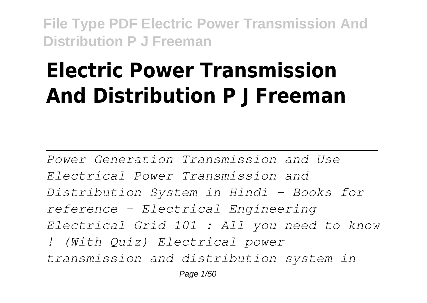# **Electric Power Transmission And Distribution P J Freeman**

*Power Generation Transmission and Use Electrical Power Transmission and Distribution System in Hindi - Books for reference - Electrical Engineering Electrical Grid 101 : All you need to know ! (With Quiz) Electrical power transmission and distribution system in* Page 1/50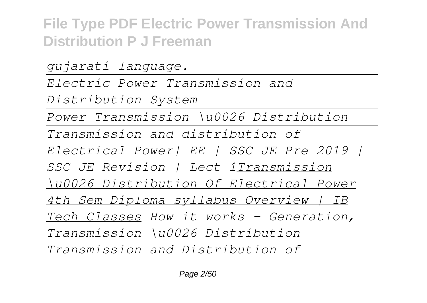*gujarati language. Electric Power Transmission and Distribution System Power Transmission \u0026 Distribution Transmission and distribution of Electrical Power| EE | SSC JE Pre 2019 | SSC JE Revision | Lect-1Transmission \u0026 Distribution Of Electrical Power 4th Sem Diploma syllabus Overview | IB Tech Classes How it works - Generation, Transmission \u0026 Distribution Transmission and Distribution of*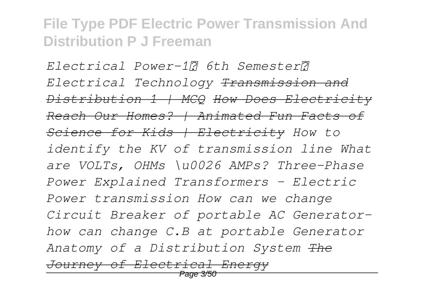*Electrical Power-1। 6th Semester। Electrical Technology Transmission and Distribution 1 | MCQ How Does Electricity Reach Our Homes? | Animated Fun Facts of Science for Kids | Electricity How to identify the KV of transmission line What are VOLTs, OHMs \u0026 AMPs? Three-Phase Power Explained Transformers - Electric Power transmission How can we change Circuit Breaker of portable AC Generatorhow can change C.B at portable Generator Anatomy of a Distribution System The Journey of Electrical Energy*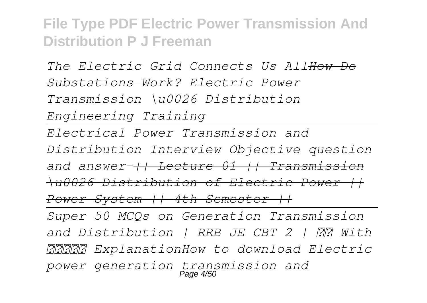*The Electric Grid Connects Us AllHow Do Substations Work? Electric Power Transmission \u0026 Distribution Engineering Training Electrical Power Transmission and Distribution Interview Objective question and answer-|| Lecture 01 || Transmission \u0026 Distribution of Electric Power || Power System || 4th Semester || Super 50 MCQs on Generation Transmission and Distribution | RRB JE CBT 2 | With हिंदी ExplanationHow to download Electric power generation transmission and* Page 4/50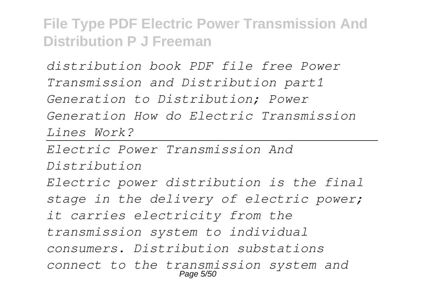*distribution book PDF file free Power Transmission and Distribution part1 Generation to Distribution; Power Generation How do Electric Transmission Lines Work?*

*Electric Power Transmission And Distribution*

*Electric power distribution is the final stage in the delivery of electric power; it carries electricity from the transmission system to individual consumers. Distribution substations connect to the transmission system and* Page 5/50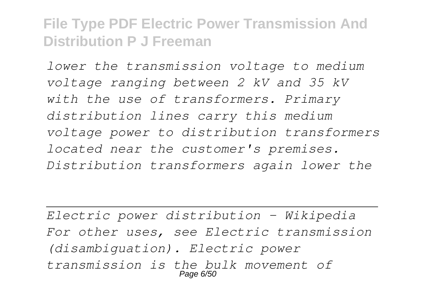*lower the transmission voltage to medium voltage ranging between 2 kV and 35 kV with the use of transformers. Primary distribution lines carry this medium voltage power to distribution transformers located near the customer's premises. Distribution transformers again lower the*

*Electric power distribution - Wikipedia For other uses, see Electric transmission (disambiguation). Electric power transmission is the bulk movement of* Page 6/50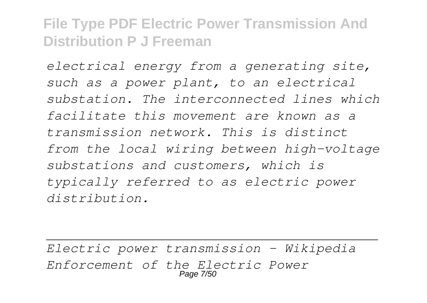*electrical energy from a generating site, such as a power plant, to an electrical substation. The interconnected lines which facilitate this movement are known as a transmission network. This is distinct from the local wiring between high-voltage substations and customers, which is typically referred to as electric power distribution.*

*Electric power transmission - Wikipedia Enforcement of the Electric Power* Page 7/50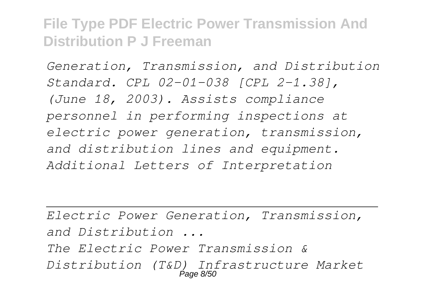*Generation, Transmission, and Distribution Standard. CPL 02-01-038 [CPL 2-1.38], (June 18, 2003). Assists compliance personnel in performing inspections at electric power generation, transmission, and distribution lines and equipment. Additional Letters of Interpretation*

*Electric Power Generation, Transmission, and Distribution ... The Electric Power Transmission & Distribution (T&D) Infrastructure Market* Page 8/50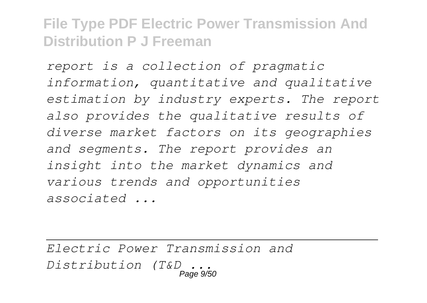*report is a collection of pragmatic information, quantitative and qualitative estimation by industry experts. The report also provides the qualitative results of diverse market factors on its geographies and segments. The report provides an insight into the market dynamics and various trends and opportunities associated ...*

*Electric Power Transmission and Distribution (T&D ...* Page 9/50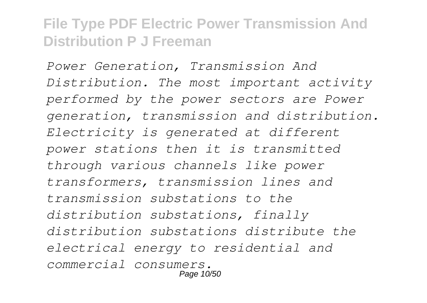*Power Generation, Transmission And Distribution. The most important activity performed by the power sectors are Power generation, transmission and distribution. Electricity is generated at different power stations then it is transmitted through various channels like power transformers, transmission lines and transmission substations to the distribution substations, finally distribution substations distribute the electrical energy to residential and commercial consumers.* Page 10/50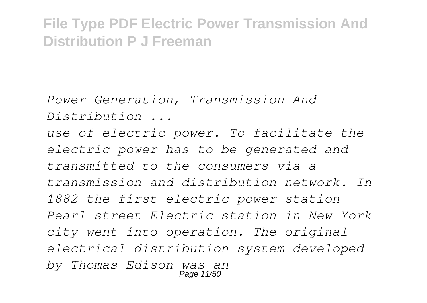*Power Generation, Transmission And Distribution ...*

*use of electric power. To facilitate the electric power has to be generated and transmitted to the consumers via a transmission and distribution network. In 1882 the first electric power station Pearl street Electric station in New York city went into operation. The original electrical distribution system developed by Thomas Edison was an* Page 11/50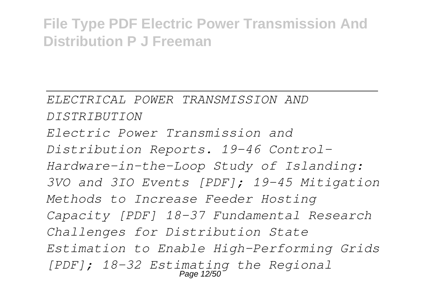*ELECTRICAL POWER TRANSMISSION AND DISTRIBUTION Electric Power Transmission and Distribution Reports. 19-46 Control-Hardware-in-the-Loop Study of Islanding: 3VO and 3IO Events [PDF]; 19-45 Mitigation Methods to Increase Feeder Hosting Capacity [PDF] 18-37 Fundamental Research Challenges for Distribution State Estimation to Enable High-Performing Grids [PDF]; 18-32 Estimating the Regional* Page 12/50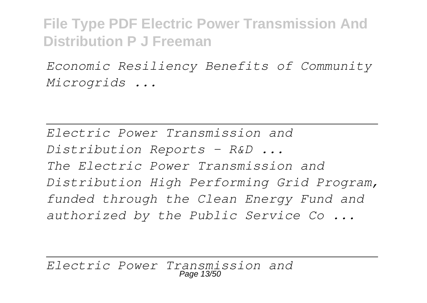*Economic Resiliency Benefits of Community Microgrids ...*

*Electric Power Transmission and Distribution Reports - R&D ... The Electric Power Transmission and Distribution High Performing Grid Program, funded through the Clean Energy Fund and authorized by the Public Service Co ...*

*Electric Power Transmission and* Page 13/50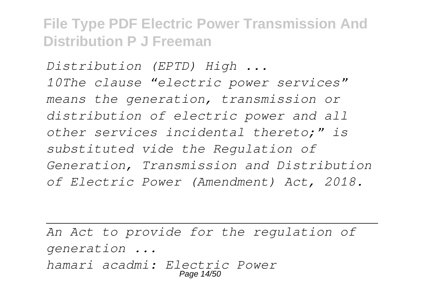*Distribution (EPTD) High ... 10The clause "electric power services" means the generation, transmission or distribution of electric power and all other services incidental thereto;" is substituted vide the Regulation of Generation, Transmission and Distribution of Electric Power (Amendment) Act, 2018.*

*An Act to provide for the regulation of generation ... hamari acadmi: Electric Power* Page 14/50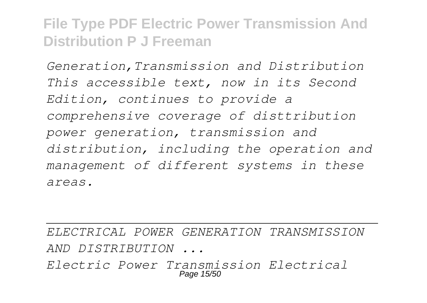*Generation,Transmission and Distribution This accessible text, now in its Second Edition, continues to provide a comprehensive coverage of disttribution power generation, transmission and distribution, including the operation and management of different systems in these areas.*

*ELECTRICAL POWER GENERATION TRANSMISSION AND DISTRIBUTION ... Electric Power Transmission Electrical*

Page 15/50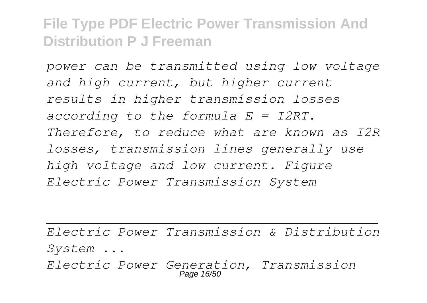*power can be transmitted using low voltage and high current, but higher current results in higher transmission losses according to the formula E = I2RT. Therefore, to reduce what are known as I2R losses, transmission lines generally use high voltage and low current. Figure Electric Power Transmission System*

*Electric Power Transmission & Distribution System ...*

*Electric Power Generation, Transmission* Page 16/5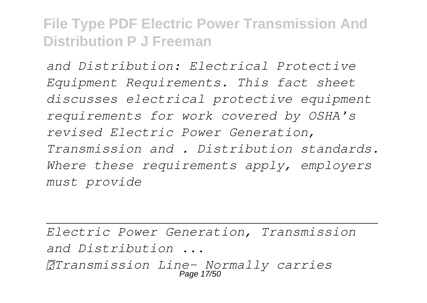*and Distribution: Electrical Protective Equipment Requirements. This fact sheet discusses electrical protective equipment requirements for work covered by OSHA's revised Electric Power Generation, Transmission and . Distribution standards. Where these requirements apply, employers must provide*

*Electric Power Generation, Transmission and Distribution ... Transmission Line- Normally carries* Page 17/50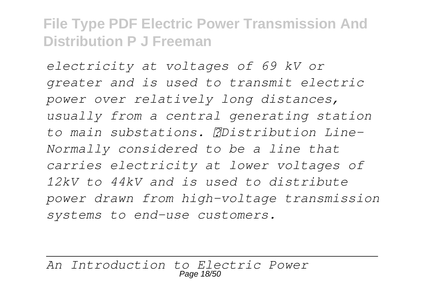*electricity at voltages of 69 kV or greater and is used to transmit electric power over relatively long distances, usually from a central generating station to main substations. Distribution Line-Normally considered to be a line that carries electricity at lower voltages of 12kV to 44kV and is used to distribute power drawn from high-voltage transmission systems to end-use customers.*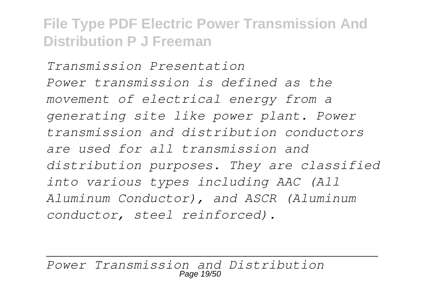*Transmission Presentation Power transmission is defined as the movement of electrical energy from a generating site like power plant. Power transmission and distribution conductors are used for all transmission and distribution purposes. They are classified into various types including AAC (All Aluminum Conductor), and ASCR (Aluminum conductor, steel reinforced).*

*Power Transmission and Distribution* Page 19/50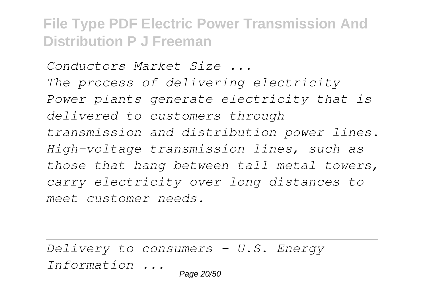*Conductors Market Size ... The process of delivering electricity Power plants generate electricity that is delivered to customers through transmission and distribution power lines. High-voltage transmission lines, such as those that hang between tall metal towers, carry electricity over long distances to meet customer needs.*

*Delivery to consumers - U.S. Energy Information ...* Page 20/50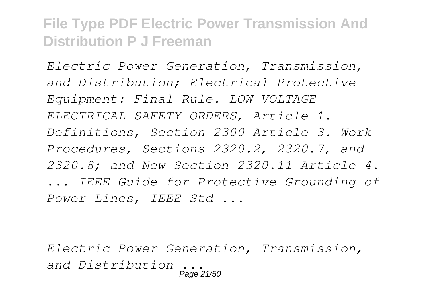*Electric Power Generation, Transmission, and Distribution; Electrical Protective Equipment: Final Rule. LOW-VOLTAGE ELECTRICAL SAFETY ORDERS, Article 1. Definitions, Section 2300 Article 3. Work Procedures, Sections 2320.2, 2320.7, and 2320.8; and New Section 2320.11 Article 4. ... IEEE Guide for Protective Grounding of Power Lines, IEEE Std ...*

*Electric Power Generation, Transmission, and Distribution ...* Page 21/50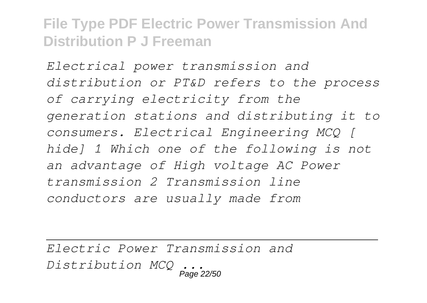*Electrical power transmission and distribution or PT&D refers to the process of carrying electricity from the generation stations and distributing it to consumers. Electrical Engineering MCQ [ hide] 1 Which one of the following is not an advantage of High voltage AC Power transmission 2 Transmission line conductors are usually made from*

*Electric Power Transmission and Distribution MCQ ...* Page 22/50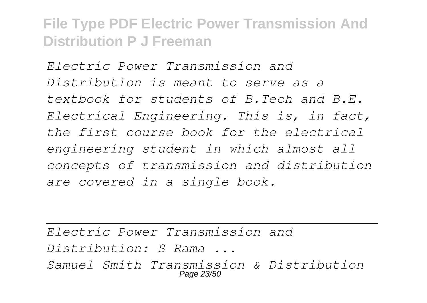*Electric Power Transmission and Distribution is meant to serve as a textbook for students of B.Tech and B.E. Electrical Engineering. This is, in fact, the first course book for the electrical engineering student in which almost all concepts of transmission and distribution are covered in a single book.*

*Electric Power Transmission and Distribution: S Rama ... Samuel Smith Transmission & Distribution* Page 23/50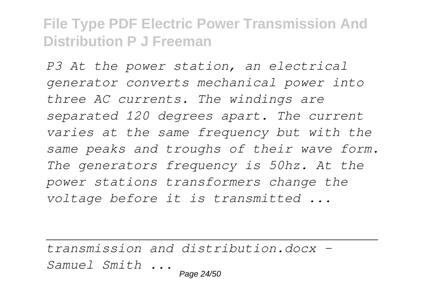*P3 At the power station, an electrical generator converts mechanical power into three AC currents. The windings are separated 120 degrees apart. The current varies at the same frequency but with the same peaks and troughs of their wave form. The generators frequency is 50hz. At the power stations transformers change the voltage before it is transmitted ...*

*transmission and distribution.docx - Samuel Smith ...* Page 24/50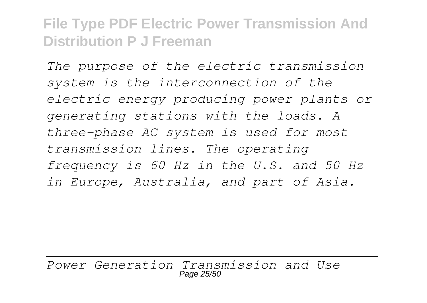*The purpose of the electric transmission system is the interconnection of the electric energy producing power plants or generating stations with the loads. A three-phase AC system is used for most transmission lines. The operating frequency is 60 Hz in the U.S. and 50 Hz in Europe, Australia, and part of Asia.*

*Power Generation Transmission and Use* Page 25/50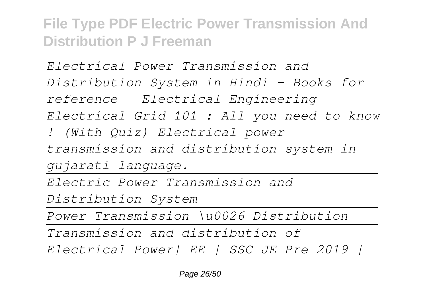*Electrical Power Transmission and Distribution System in Hindi - Books for reference - Electrical Engineering Electrical Grid 101 : All you need to know ! (With Quiz) Electrical power transmission and distribution system in gujarati language. Electric Power Transmission and Distribution System Power Transmission \u0026 Distribution Transmission and distribution of Electrical Power| EE | SSC JE Pre 2019 |*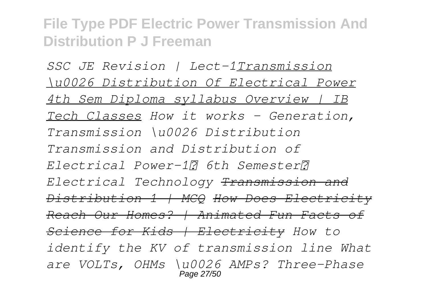*SSC JE Revision | Lect-1Transmission \u0026 Distribution Of Electrical Power 4th Sem Diploma syllabus Overview | IB Tech Classes How it works - Generation, Transmission \u0026 Distribution Transmission and Distribution of Electrical Power-1। 6th Semester। Electrical Technology Transmission and Distribution 1 | MCQ How Does Electricity Reach Our Homes? | Animated Fun Facts of Science for Kids | Electricity How to identify the KV of transmission line What are VOLTs, OHMs \u0026 AMPs? Three-Phase* Page 27/50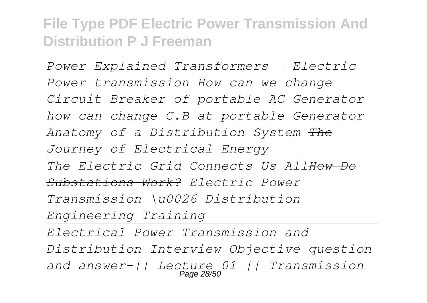*Power Explained Transformers - Electric Power transmission How can we change Circuit Breaker of portable AC Generatorhow can change C.B at portable Generator Anatomy of a Distribution System The Journey of Electrical Energy The Electric Grid Connects Us AllHow Do Substations Work? Electric Power Transmission \u0026 Distribution Engineering Training Electrical Power Transmission and Distribution Interview Objective question*

*and answer-|| Lecture 01 || Transmission* Page 28/50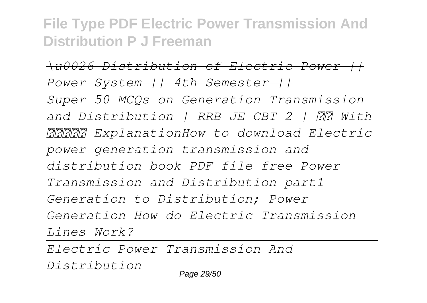*\u0026 Distribution of Electric Power || Power System || 4th Semester ||*

*Super 50 MCQs on Generation Transmission and Distribution | RRB JE CBT 2 | With हिंदी ExplanationHow to download Electric power generation transmission and distribution book PDF file free Power Transmission and Distribution part1 Generation to Distribution; Power Generation How do Electric Transmission Lines Work?*

*Electric Power Transmission And Distribution* Page 29/50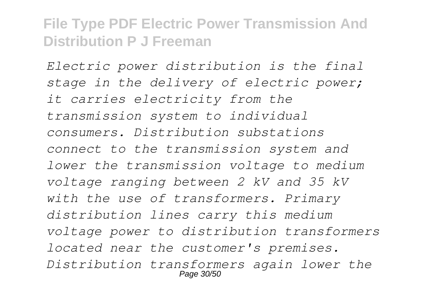*Electric power distribution is the final stage in the delivery of electric power; it carries electricity from the transmission system to individual consumers. Distribution substations connect to the transmission system and lower the transmission voltage to medium voltage ranging between 2 kV and 35 kV with the use of transformers. Primary distribution lines carry this medium voltage power to distribution transformers located near the customer's premises. Distribution transformers again lower the* Page 30/50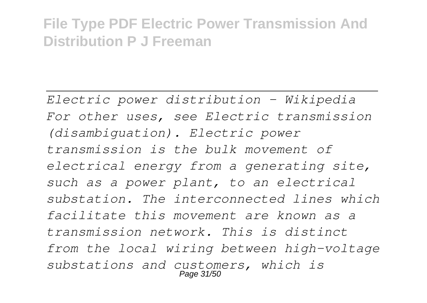*Electric power distribution - Wikipedia For other uses, see Electric transmission (disambiguation). Electric power transmission is the bulk movement of electrical energy from a generating site, such as a power plant, to an electrical substation. The interconnected lines which facilitate this movement are known as a transmission network. This is distinct from the local wiring between high-voltage substations and customers, which is* Page 31/50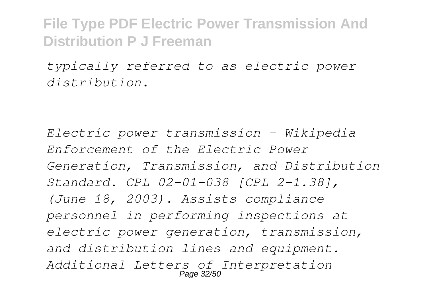*typically referred to as electric power distribution.*

*Electric power transmission - Wikipedia Enforcement of the Electric Power Generation, Transmission, and Distribution Standard. CPL 02-01-038 [CPL 2-1.38], (June 18, 2003). Assists compliance personnel in performing inspections at electric power generation, transmission, and distribution lines and equipment. Additional Letters of Interpretation* Page 32/50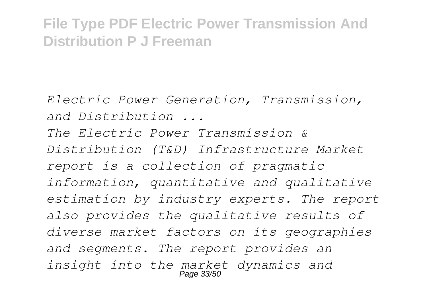*Electric Power Generation, Transmission, and Distribution ...*

*The Electric Power Transmission & Distribution (T&D) Infrastructure Market report is a collection of pragmatic information, quantitative and qualitative estimation by industry experts. The report also provides the qualitative results of diverse market factors on its geographies and segments. The report provides an insight into the market dynamics and* Page 33/50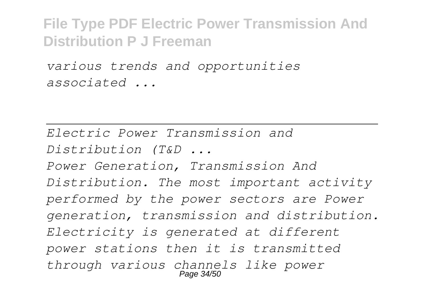*various trends and opportunities associated ...*

*Electric Power Transmission and Distribution (T&D ... Power Generation, Transmission And Distribution. The most important activity performed by the power sectors are Power generation, transmission and distribution. Electricity is generated at different power stations then it is transmitted through various channels like power* Page 34/50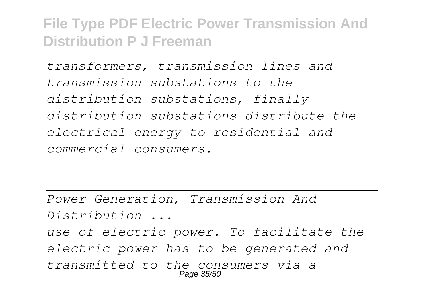*transformers, transmission lines and transmission substations to the distribution substations, finally distribution substations distribute the electrical energy to residential and commercial consumers.*

*Power Generation, Transmission And Distribution ...*

*use of electric power. To facilitate the electric power has to be generated and transmitted to the consumers via a* Page 35/5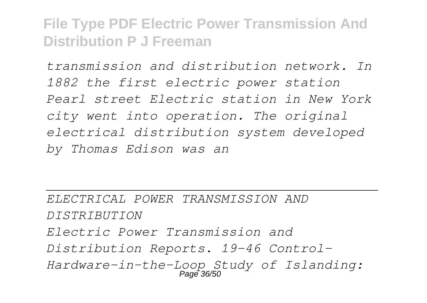*transmission and distribution network. In 1882 the first electric power station Pearl street Electric station in New York city went into operation. The original electrical distribution system developed by Thomas Edison was an*

*ELECTRICAL POWER TRANSMISSION AND DISTRIBUTION Electric Power Transmission and Distribution Reports. 19-46 Control-Hardware-in-the-Loop Study of Islanding:* Page 36/50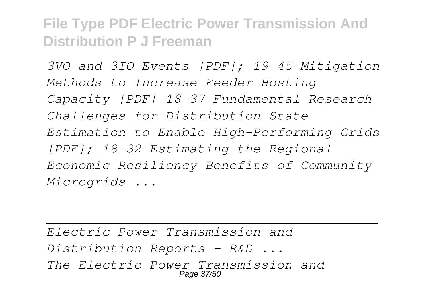*3VO and 3IO Events [PDF]; 19-45 Mitigation Methods to Increase Feeder Hosting Capacity [PDF] 18-37 Fundamental Research Challenges for Distribution State Estimation to Enable High-Performing Grids [PDF]; 18-32 Estimating the Regional Economic Resiliency Benefits of Community Microgrids ...*

*Electric Power Transmission and Distribution Reports - R&D ... The Electric Power Transmission and* Page 37/50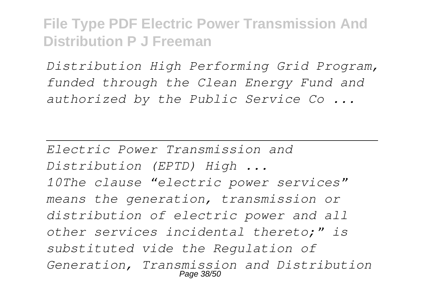*Distribution High Performing Grid Program, funded through the Clean Energy Fund and authorized by the Public Service Co ...*

*Electric Power Transmission and Distribution (EPTD) High ... 10The clause "electric power services" means the generation, transmission or distribution of electric power and all other services incidental thereto;" is substituted vide the Regulation of Generation, Transmission and Distribution* Page 38/5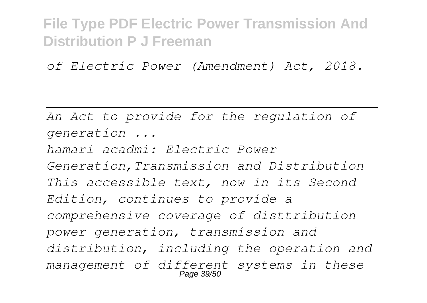*of Electric Power (Amendment) Act, 2018.*

*An Act to provide for the regulation of generation ...*

*hamari acadmi: Electric Power Generation,Transmission and Distribution This accessible text, now in its Second Edition, continues to provide a comprehensive coverage of disttribution power generation, transmission and distribution, including the operation and management of different systems in these* Page 39/50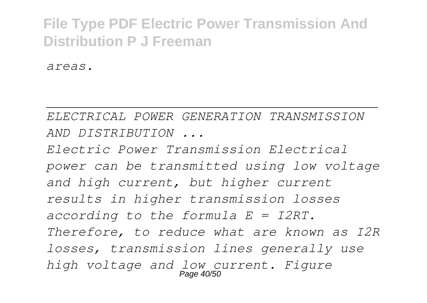*areas.*

*ELECTRICAL POWER GENERATION TRANSMISSION AND DISTRIBUTION ...*

*Electric Power Transmission Electrical power can be transmitted using low voltage and high current, but higher current results in higher transmission losses according to the formula E = I2RT. Therefore, to reduce what are known as I2R losses, transmission lines generally use high voltage and low current. Figure* Page 40/50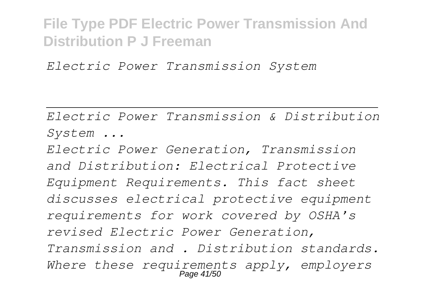*Electric Power Transmission System*

*Electric Power Transmission & Distribution System ...*

*Electric Power Generation, Transmission and Distribution: Electrical Protective Equipment Requirements. This fact sheet discusses electrical protective equipment requirements for work covered by OSHA's revised Electric Power Generation, Transmission and . Distribution standards. Where these requirements apply, employers* Page 41/50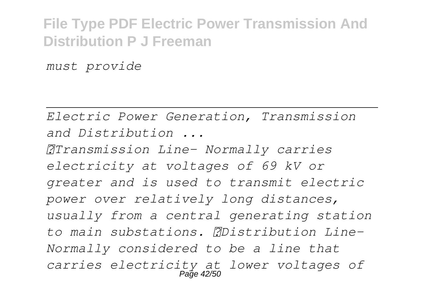*must provide*

*Electric Power Generation, Transmission and Distribution ...*

*Transmission Line- Normally carries electricity at voltages of 69 kV or greater and is used to transmit electric power over relatively long distances, usually from a central generating station to main substations. Distribution Line-Normally considered to be a line that carries electricity at lower voltages of* Page 42/50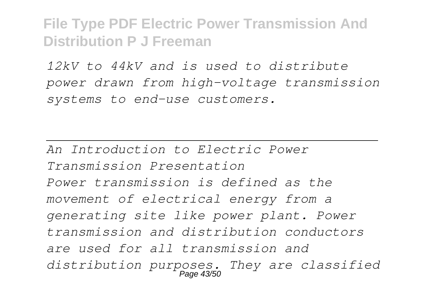*12kV to 44kV and is used to distribute power drawn from high-voltage transmission systems to end-use customers.*

*An Introduction to Electric Power Transmission Presentation Power transmission is defined as the movement of electrical energy from a generating site like power plant. Power transmission and distribution conductors are used for all transmission and distribution purposes. They are classified* Page 43/50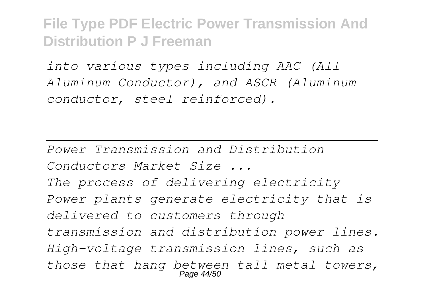*into various types including AAC (All Aluminum Conductor), and ASCR (Aluminum conductor, steel reinforced).*

*Power Transmission and Distribution Conductors Market Size ... The process of delivering electricity Power plants generate electricity that is delivered to customers through transmission and distribution power lines. High-voltage transmission lines, such as those that hang between tall metal towers,* Page 44/50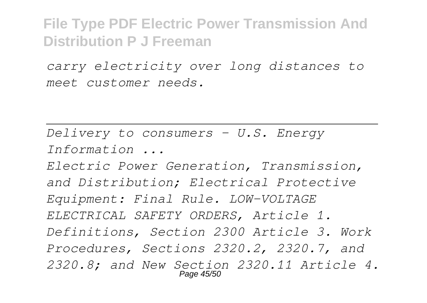*carry electricity over long distances to meet customer needs.*

*Delivery to consumers - U.S. Energy Information ... Electric Power Generation, Transmission, and Distribution; Electrical Protective Equipment: Final Rule. LOW-VOLTAGE ELECTRICAL SAFETY ORDERS, Article 1. Definitions, Section 2300 Article 3. Work Procedures, Sections 2320.2, 2320.7, and 2320.8; and New Section 2320.11 Article 4.* Page 45/50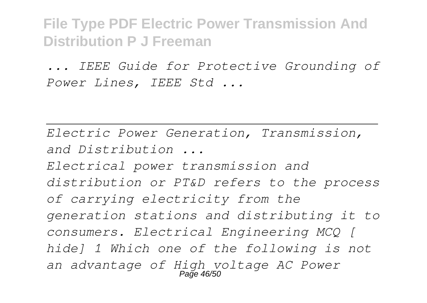*... IEEE Guide for Protective Grounding of Power Lines, IEEE Std ...*

*Electric Power Generation, Transmission, and Distribution ... Electrical power transmission and distribution or PT&D refers to the process of carrying electricity from the generation stations and distributing it to consumers. Electrical Engineering MCQ [ hide] 1 Which one of the following is not an advantage of High voltage AC Power* Page 46/50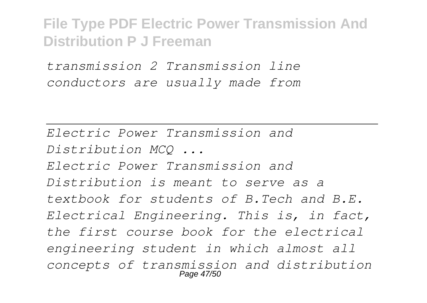*transmission 2 Transmission line conductors are usually made from*

*Electric Power Transmission and Distribution MCQ ... Electric Power Transmission and Distribution is meant to serve as a textbook for students of B.Tech and B.E. Electrical Engineering. This is, in fact, the first course book for the electrical engineering student in which almost all concepts of transmission and distribution* Page 47/50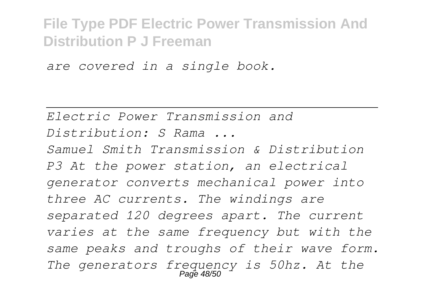*are covered in a single book.*

*Electric Power Transmission and Distribution: S Rama ... Samuel Smith Transmission & Distribution*

*P3 At the power station, an electrical generator converts mechanical power into three AC currents. The windings are separated 120 degrees apart. The current varies at the same frequency but with the same peaks and troughs of their wave form. The generators frequency is 50hz. At the* Page 48/50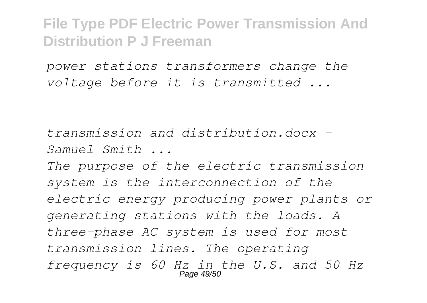*power stations transformers change the voltage before it is transmitted ...*

*transmission and distribution.docx - Samuel Smith ... The purpose of the electric transmission system is the interconnection of the electric energy producing power plants or generating stations with the loads. A three-phase AC system is used for most transmission lines. The operating frequency is 60 Hz in the U.S. and 50 Hz* Page 49/50